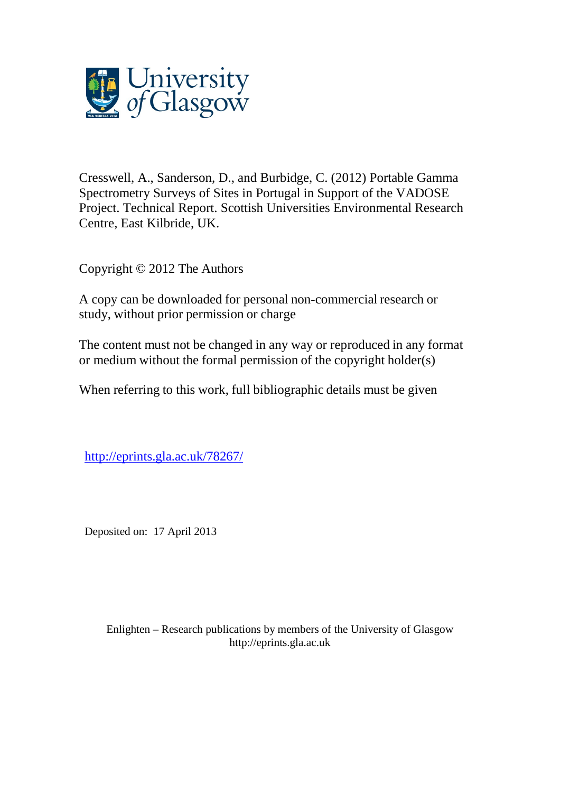

Cresswell, A., Sanderson, D., and Burbidge, C. (2012) Portable Gamma Spectrometry Surveys of Sites in Portugal in Support of the VADOSE Project. Technical Report. Scottish Universities Environmental Research Centre, East Kilbride, UK.

Copyright © 2012 The Authors

A copy can be downloaded for personal non-commercial research or study, without prior permission or charge

The content must not be changed in any way or reproduced in any format or medium without the formal permission of the copyright holder(s)

When referring to this work, full bibliographic details must be given

[http://eprints.gla.ac.uk/78267/](http://eprints.gla.ac.uk/78028/)

Deposited on: 17 April 2013

Enlighten – Research publications by members of the University of Glasgo[w](http://eprints.gla.ac.uk/) [http://eprints.gla.ac.uk](http://eprints.gla.ac.uk/)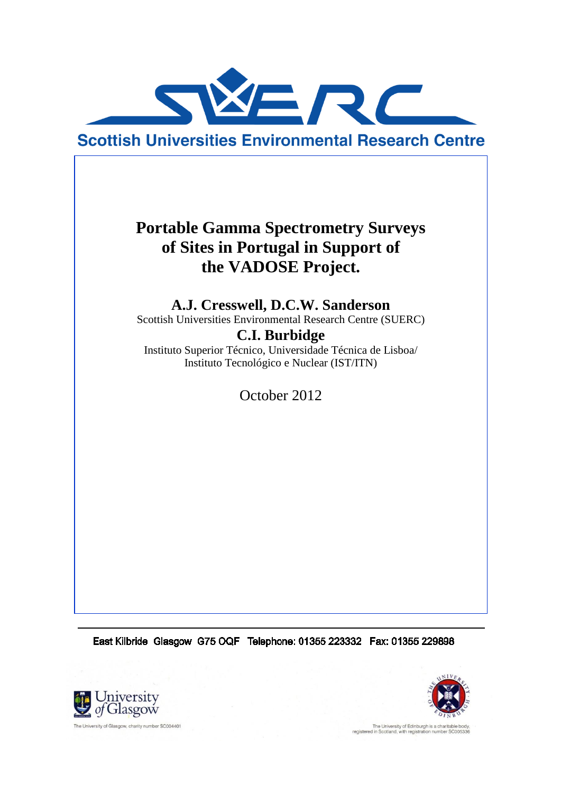

**Scottish Universities Environmental Research Centre** 

# **Portable Gamma Spectrometry Surveys of Sites in Portugal in Support of the VADOSE Project.**

**A.J. Cresswell, D.C.W. Sanderson**

Scottish Universities Environmental Research Centre (SUERC)

**C.I. Burbidge**

Instituto Superior Técnico, Universidade Técnica de Lisboa/ Instituto Tecnológico e Nuclear (IST/ITN)

October 2012

East Kilbride Glasgow G75 OQF Telephone: 01355 223332 Fax: 01355 229898





The University of Edinburgh is a charitable boregistered in Scotland, with registration number SC0053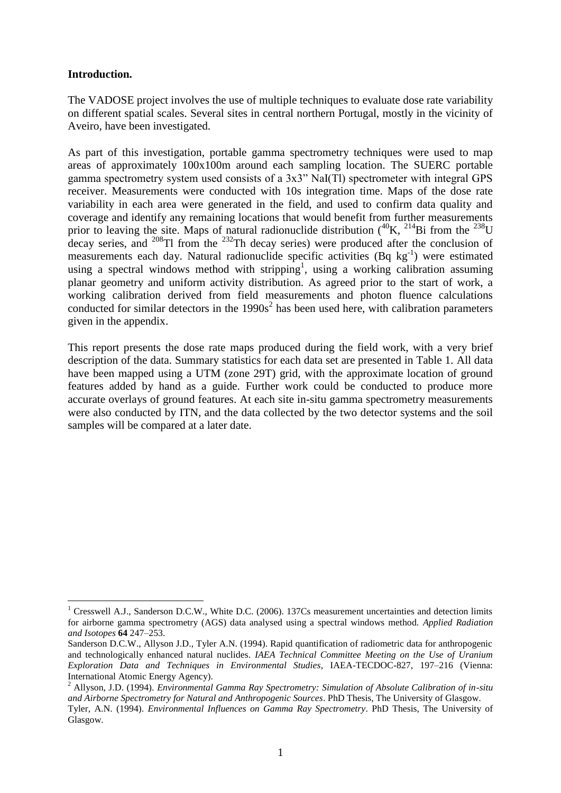### **Introduction.**

<u>.</u>

The VADOSE project involves the use of multiple techniques to evaluate dose rate variability on different spatial scales. Several sites in central northern Portugal, mostly in the vicinity of Aveiro, have been investigated.

As part of this investigation, portable gamma spectrometry techniques were used to map areas of approximately 100x100m around each sampling location. The SUERC portable gamma spectrometry system used consists of a 3x3" NaI(Tl) spectrometer with integral GPS receiver. Measurements were conducted with 10s integration time. Maps of the dose rate variability in each area were generated in the field, and used to confirm data quality and coverage and identify any remaining locations that would benefit from further measurements prior to leaving the site. Maps of natural radionuclide distribution  $(^{40}K, ^{214}Bi$  from the  $^{238}U$ decay series, and  $^{208}$ Tl from the  $^{232}$ Th decay series) were produced after the conclusion of measurements each day. Natural radionuclide specific activities  $(Bq \text{ kg}^{-1})$  were estimated using a spectral windows method with stripping<sup>1</sup>, using a working calibration assuming planar geometry and uniform activity distribution. As agreed prior to the start of work, a working calibration derived from field measurements and photon fluence calculations conducted for similar detectors in the  $1990s<sup>2</sup>$  has been used here, with calibration parameters given in the appendix.

This report presents the dose rate maps produced during the field work, with a very brief description of the data. Summary statistics for each data set are presented in Table 1. All data have been mapped using a UTM (zone 29T) grid, with the approximate location of ground features added by hand as a guide. Further work could be conducted to produce more accurate overlays of ground features. At each site in-situ gamma spectrometry measurements were also conducted by ITN, and the data collected by the two detector systems and the soil samples will be compared at a later date.

<sup>&</sup>lt;sup>1</sup> Cresswell A.J., Sanderson D.C.W., White D.C. (2006). 137Cs measurement uncertainties and detection limits for airborne gamma spectrometry (AGS) data analysed using a spectral windows method. *Applied Radiation and Isotopes* **64** 247–253.

Sanderson D.C.W., Allyson J.D., Tyler A.N. (1994). Rapid quantification of radiometric data for anthropogenic and technologically enhanced natural nuclides. *IAEA Technical Committee Meeting on the Use of Uranium Exploration Data and Techniques in Environmental Studies*, IAEA-TECDOC-827, 197–216 (Vienna: International Atomic Energy Agency).

<sup>2</sup> Allyson, J.D. (1994). *Environmental Gamma Ray Spectrometry: Simulation of Absolute Calibration of in-situ and Airborne Spectrometry for Natural and Anthropogenic Sources*. PhD Thesis, The University of Glasgow.

Tyler, A.N. (1994). *Environmental Influences on Gamma Ray Spectrometry*. PhD Thesis, The University of Glasgow.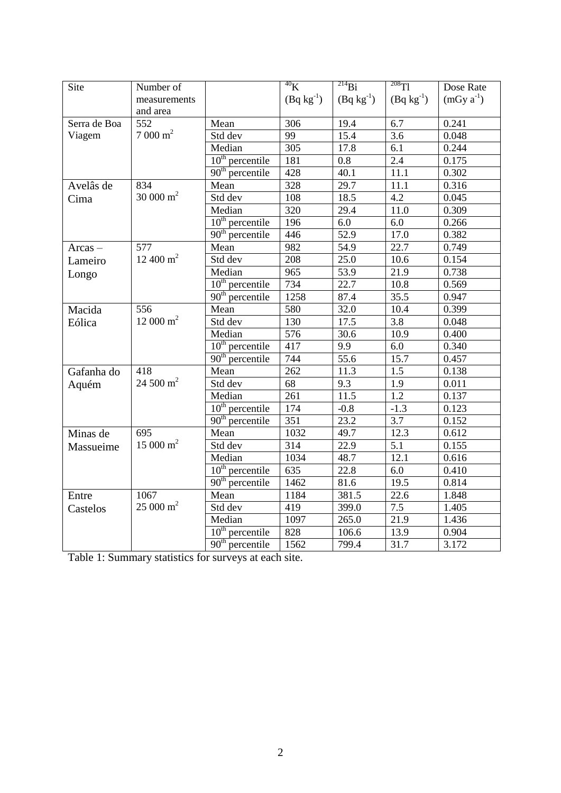| Site         | Number of           |                   | $\overline{^{40}\text{K}}$ | $^{214}Bi$        | $^{208}$ Tl      | Dose Rate      |
|--------------|---------------------|-------------------|----------------------------|-------------------|------------------|----------------|
|              | measurements        |                   | $(Bq kg^{-1})$             | $(Bq kg^{-1})$    | $(Bq kg^{-1})$   | $(mGy a^{-1})$ |
|              | and area            |                   |                            |                   |                  |                |
| Serra de Boa | 552                 | Mean              | 306                        | 19.4              | 6.7              | 0.241          |
| Viagem       | $7000 \text{ m}^2$  | Std dev           | 99                         | 15.4              | 3.6              | 0.048          |
|              |                     | Median            | 305                        | 17.8              | 6.1              | 0.244          |
|              |                     | $10th$ percentile | 181                        | 0.8               | 2.4              | 0.175          |
|              |                     | $90th$ percentile | 428                        | 40.1              | 11.1             | 0.302          |
| Avelâs de    | 834                 | Mean              | 328                        | 29.7              | 11.1             | 0.316          |
| Cima         | 30 000 $m^2$        | Std dev           | 108                        | 18.5              | $\overline{4.2}$ | 0.045          |
|              |                     | Median            | 320                        | 29.4              | 11.0             | 0.309          |
|              |                     | $10th$ percentile | 196                        | 6.0               | $\overline{6.0}$ | 0.266          |
|              |                     | $90th$ percentile | 446                        | 52.9              | 17.0             | 0.382          |
| $Arcas -$    | 577                 | Mean              | 982                        | 54.9              | 22.7             | 0.749          |
| Lameiro      | 12 400 $m^2$        | Std dev           | 208                        | $\overline{25.0}$ | 10.6             | 0.154          |
| Longo        |                     | Median            | 965                        | $\overline{53.9}$ | 21.9             | 0.738          |
|              |                     | $10th$ percentile | 734                        | 22.7              | 10.8             | 0.569          |
|              |                     | $90th$ percentile | 1258                       | 87.4              | 35.5             | 0.947          |
| Macida       | 556                 | Mean              | 580                        | 32.0              | 10.4             | 0.399          |
| Eólica       | $12000 \text{ m}^2$ | Std dev           | 130                        | 17.5              | 3.8              | 0.048          |
|              |                     | Median            | 576                        | 30.6              | 10.9             | 0.400          |
|              |                     | $10th$ percentile | 417                        | 9.9               | 6.0              | 0.340          |
|              |                     | $90th$ percentile | 744                        | 55.6              | 15.7             | 0.457          |
| Gafanha do   | 418                 | Mean              | 262                        | 11.3              | 1.5              | 0.138          |
| Aquém        | 24 500 $m^2$        | Std dev           | 68                         | 9.3               | 1.9              | 0.011          |
|              |                     | Median            | 261                        | 11.5              | $\overline{1.2}$ | 0.137          |
|              |                     | $10th$ percentile | 174                        | $-0.8$            | $-1.3$           | 0.123          |
|              |                     | $90th$ percentile | $\overline{351}$           | 23.2              | $\overline{3.7}$ | 0.152          |
| Minas de     | 695                 | Mean              | 1032                       | 49.7              | 12.3             | 0.612          |
| Massueime    | $15000 \text{ m}^2$ | Std dev           | 314                        | 22.9              | 5.1              | 0.155          |
|              |                     | Median            | 1034                       | 48.7              | 12.1             | 0.616          |
|              |                     | $10th$ percentile | 635                        | 22.8              | 6.0              | 0.410          |
|              |                     | $90th$ percentile | 1462                       | 81.6              | 19.5             | 0.814          |
| Entre        | 1067                | Mean              | 1184                       | 381.5             | 22.6             | 1.848          |
| Castelos     | $25000 \text{ m}^2$ | Std dev           | 419                        | 399.0             | $\overline{7.5}$ | 1.405          |
|              |                     | Median            | 1097                       | 265.0             | 21.9             | 1.436          |
|              |                     | $10th$ percentile | 828                        | 106.6             | 13.9             | 0.904          |
|              |                     | $90th$ percentile | 1562                       | 799.4             | 31.7             | 3.172          |

Table 1: Summary statistics for surveys at each site.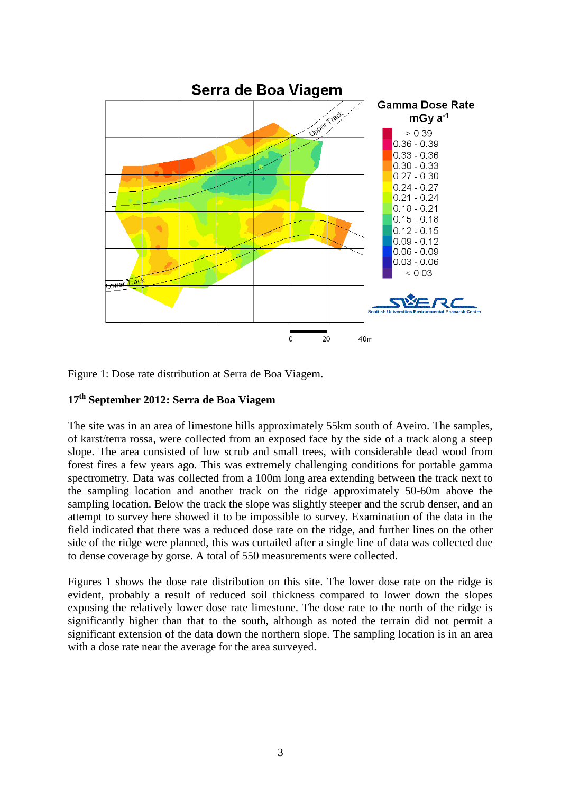

Figure 1: Dose rate distribution at Serra de Boa Viagem.

### **17th September 2012: Serra de Boa Viagem**

The site was in an area of limestone hills approximately 55km south of Aveiro. The samples, of karst/terra rossa, were collected from an exposed face by the side of a track along a steep slope. The area consisted of low scrub and small trees, with considerable dead wood from forest fires a few years ago. This was extremely challenging conditions for portable gamma spectrometry. Data was collected from a 100m long area extending between the track next to the sampling location and another track on the ridge approximately 50-60m above the sampling location. Below the track the slope was slightly steeper and the scrub denser, and an attempt to survey here showed it to be impossible to survey. Examination of the data in the field indicated that there was a reduced dose rate on the ridge, and further lines on the other side of the ridge were planned, this was curtailed after a single line of data was collected due to dense coverage by gorse. A total of 550 measurements were collected.

Figures 1 shows the dose rate distribution on this site. The lower dose rate on the ridge is evident, probably a result of reduced soil thickness compared to lower down the slopes exposing the relatively lower dose rate limestone. The dose rate to the north of the ridge is significantly higher than that to the south, although as noted the terrain did not permit a significant extension of the data down the northern slope. The sampling location is in an area with a dose rate near the average for the area surveyed.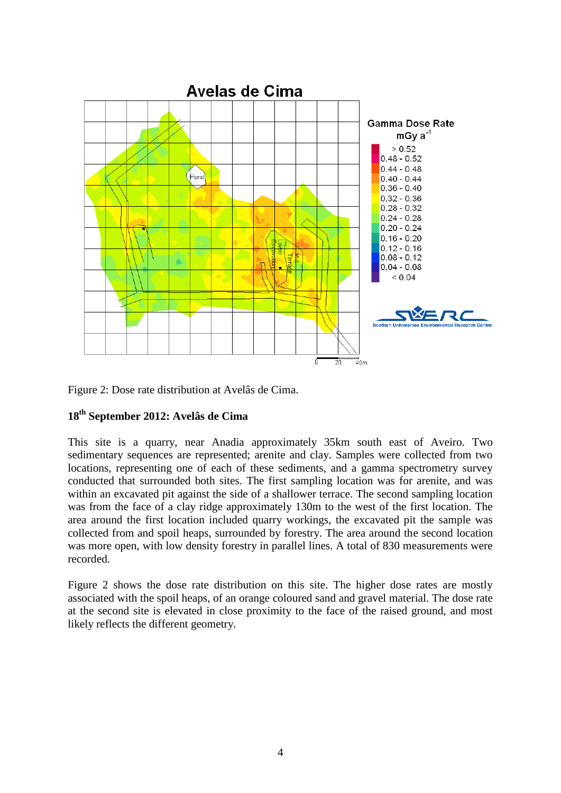

Figure 2: Dose rate distribution at Avelâs de Cima.

## **18th September 2012: Avelâs de Cima**

This site is a quarry, near Anadia approximately 35km south east of Aveiro. Two sedimentary sequences are represented; arenite and clay. Samples were collected from two locations, representing one of each of these sediments, and a gamma spectrometry survey conducted that surrounded both sites. The first sampling location was for arenite, and was within an excavated pit against the side of a shallower terrace. The second sampling location was from the face of a clay ridge approximately 130m to the west of the first location. The area around the first location included quarry workings, the excavated pit the sample was collected from and spoil heaps, surrounded by forestry. The area around the second location was more open, with low density forestry in parallel lines. A total of 830 measurements were recorded.

Figure 2 shows the dose rate distribution on this site. The higher dose rates are mostly associated with the spoil heaps, of an orange coloured sand and gravel material. The dose rate at the second site is elevated in close proximity to the face of the raised ground, and most likely reflects the different geometry.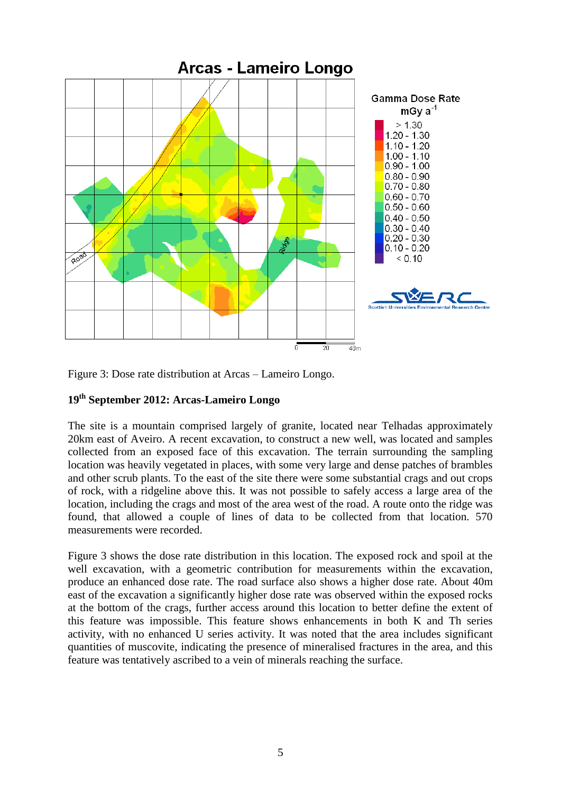

Figure 3: Dose rate distribution at Arcas – Lameiro Longo.

### **19th September 2012: Arcas-Lameiro Longo**

The site is a mountain comprised largely of granite, located near Telhadas approximately 20km east of Aveiro. A recent excavation, to construct a new well, was located and samples collected from an exposed face of this excavation. The terrain surrounding the sampling location was heavily vegetated in places, with some very large and dense patches of brambles and other scrub plants. To the east of the site there were some substantial crags and out crops of rock, with a ridgeline above this. It was not possible to safely access a large area of the location, including the crags and most of the area west of the road. A route onto the ridge was found, that allowed a couple of lines of data to be collected from that location. 570 measurements were recorded.

Figure 3 shows the dose rate distribution in this location. The exposed rock and spoil at the well excavation, with a geometric contribution for measurements within the excavation, produce an enhanced dose rate. The road surface also shows a higher dose rate. About 40m east of the excavation a significantly higher dose rate was observed within the exposed rocks at the bottom of the crags, further access around this location to better define the extent of this feature was impossible. This feature shows enhancements in both K and Th series activity, with no enhanced U series activity. It was noted that the area includes significant quantities of muscovite, indicating the presence of mineralised fractures in the area, and this feature was tentatively ascribed to a vein of minerals reaching the surface.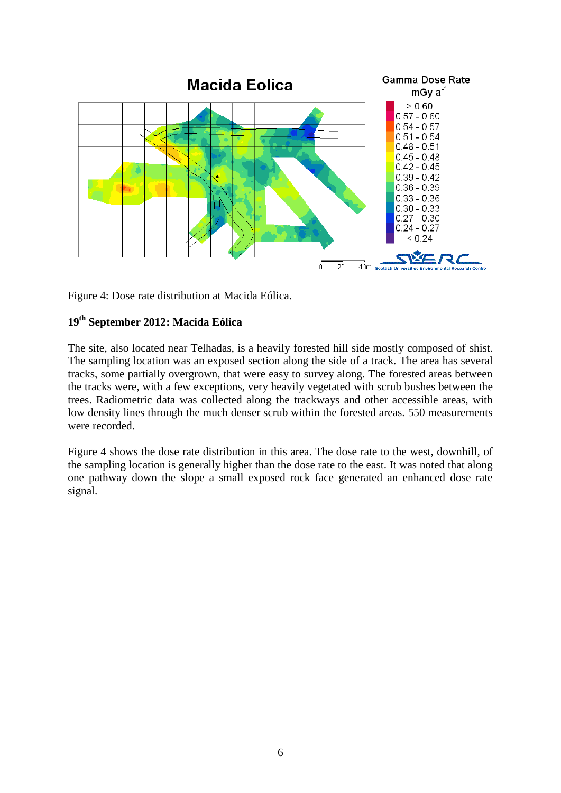

Figure 4: Dose rate distribution at Macida Eólica.

### **19th September 2012: Macida Eólica**

The site, also located near Telhadas, is a heavily forested hill side mostly composed of shist. The sampling location was an exposed section along the side of a track. The area has several tracks, some partially overgrown, that were easy to survey along. The forested areas between the tracks were, with a few exceptions, very heavily vegetated with scrub bushes between the trees. Radiometric data was collected along the trackways and other accessible areas, with low density lines through the much denser scrub within the forested areas. 550 measurements were recorded.

Figure 4 shows the dose rate distribution in this area. The dose rate to the west, downhill, of the sampling location is generally higher than the dose rate to the east. It was noted that along one pathway down the slope a small exposed rock face generated an enhanced dose rate signal.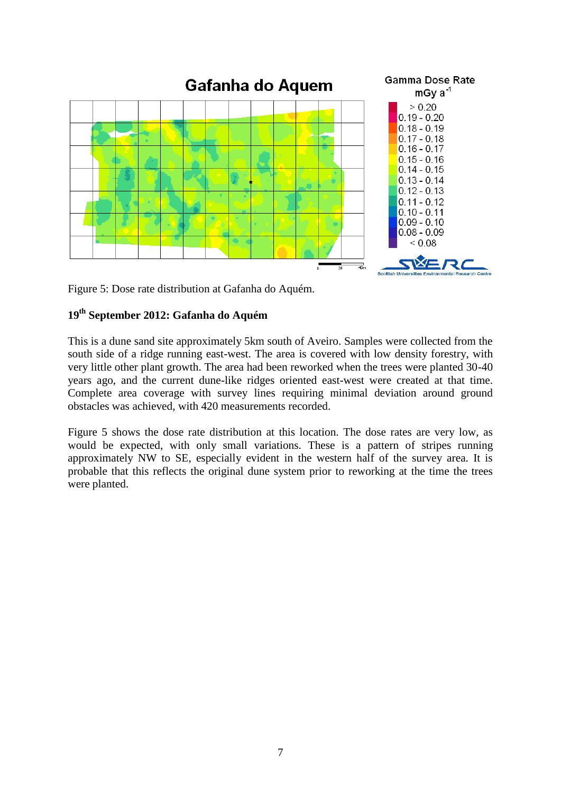

Figure 5: Dose rate distribution at Gafanha do Aquém.

# **19th September 2012: Gafanha do Aquém**

This is a dune sand site approximately 5km south of Aveiro. Samples were collected from the south side of a ridge running east-west. The area is covered with low density forestry, with very little other plant growth. The area had been reworked when the trees were planted 30-40 years ago, and the current dune-like ridges oriented east-west were created at that time. Complete area coverage with survey lines requiring minimal deviation around ground obstacles was achieved, with 420 measurements recorded.

Figure 5 shows the dose rate distribution at this location. The dose rates are very low, as would be expected, with only small variations. These is a pattern of stripes running approximately NW to SE, especially evident in the western half of the survey area. It is probable that this reflects the original dune system prior to reworking at the time the trees were planted.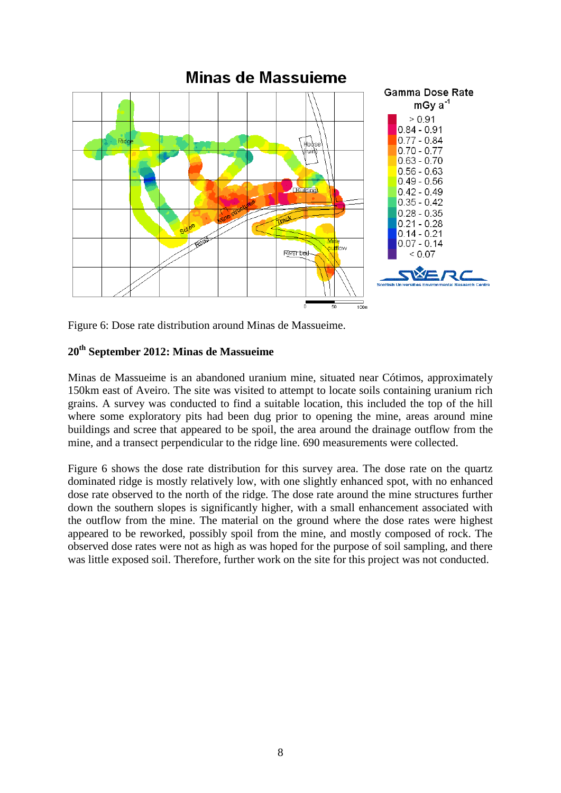

Minas de Massuieme

Figure 6: Dose rate distribution around Minas de Massueime.

### **20th September 2012: Minas de Massueime**

Minas de Massueime is an abandoned uranium mine, situated near Cótimos, approximately 150km east of Aveiro. The site was visited to attempt to locate soils containing uranium rich grains. A survey was conducted to find a suitable location, this included the top of the hill where some exploratory pits had been dug prior to opening the mine, areas around mine buildings and scree that appeared to be spoil, the area around the drainage outflow from the mine, and a transect perpendicular to the ridge line. 690 measurements were collected.

Figure 6 shows the dose rate distribution for this survey area. The dose rate on the quartz dominated ridge is mostly relatively low, with one slightly enhanced spot, with no enhanced dose rate observed to the north of the ridge. The dose rate around the mine structures further down the southern slopes is significantly higher, with a small enhancement associated with the outflow from the mine. The material on the ground where the dose rates were highest appeared to be reworked, possibly spoil from the mine, and mostly composed of rock. The observed dose rates were not as high as was hoped for the purpose of soil sampling, and there was little exposed soil. Therefore, further work on the site for this project was not conducted.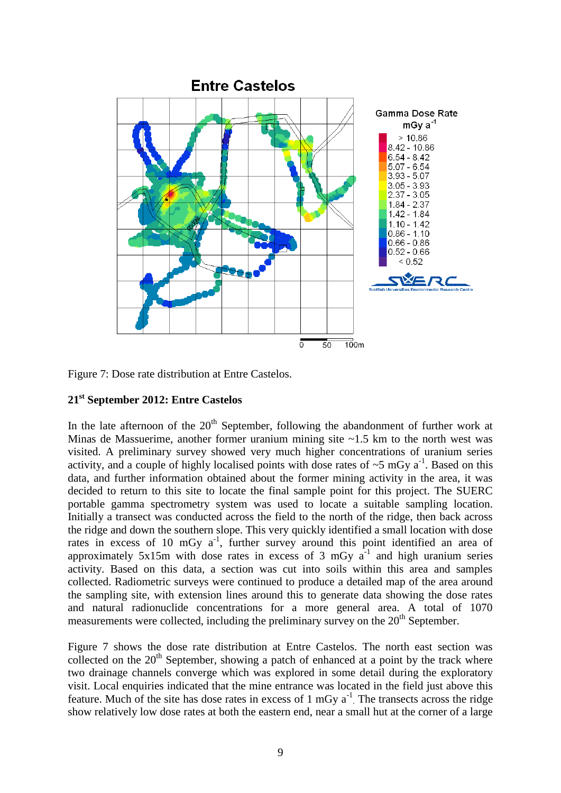

Figure 7: Dose rate distribution at Entre Castelos.

### **21st September 2012: Entre Castelos**

In the late afternoon of the  $20<sup>th</sup>$  September, following the abandonment of further work at Minas de Massuerime, another former uranium mining site  $\sim$ 1.5 km to the north west was visited. A preliminary survey showed very much higher concentrations of uranium series activity, and a couple of highly localised points with dose rates of  $\sim$ 5 mGy a<sup>-1</sup>. Based on this data, and further information obtained about the former mining activity in the area, it was decided to return to this site to locate the final sample point for this project. The SUERC portable gamma spectrometry system was used to locate a suitable sampling location. Initially a transect was conducted across the field to the north of the ridge, then back across the ridge and down the southern slope. This very quickly identified a small location with dose rates in excess of 10 mGy  $a^{-1}$ , further survey around this point identified an area of approximately  $5x15m$  with dose rates in excess of 3 mGy  $a^{-1}$  and high uranium series activity. Based on this data, a section was cut into soils within this area and samples collected. Radiometric surveys were continued to produce a detailed map of the area around the sampling site, with extension lines around this to generate data showing the dose rates and natural radionuclide concentrations for a more general area. A total of 1070 measurements were collected, including the preliminary survey on the  $20<sup>th</sup>$  September.

Figure 7 shows the dose rate distribution at Entre Castelos. The north east section was collected on the  $20<sup>th</sup>$  September, showing a patch of enhanced at a point by the track where two drainage channels converge which was explored in some detail during the exploratory visit. Local enquiries indicated that the mine entrance was located in the field just above this feature. Much of the site has dose rates in excess of  $1 \text{ mGy} a^{-1}$ . The transects across the ridge show relatively low dose rates at both the eastern end, near a small hut at the corner of a large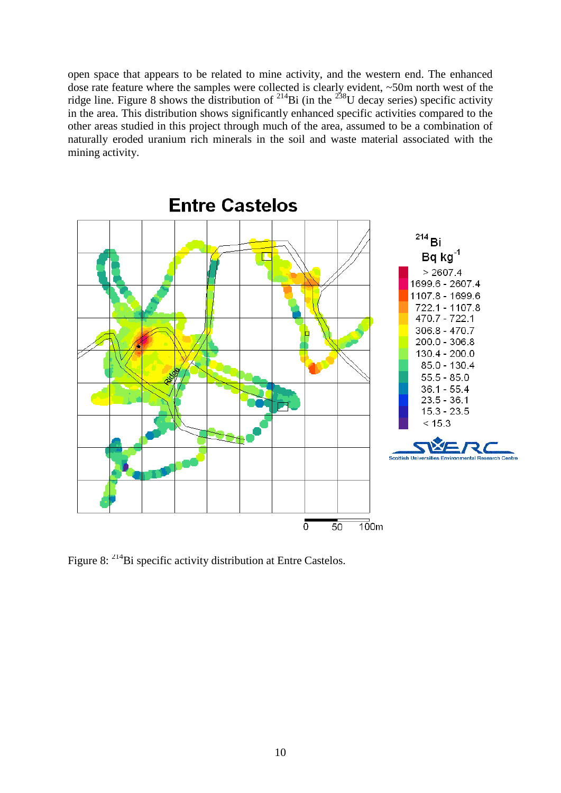open space that appears to be related to mine activity, and the western end. The enhanced dose rate feature where the samples were collected is clearly evident, ~50m north west of the ridge line. Figure 8 shows the distribution of <sup>214</sup>Bi (in the <sup>238</sup>U decay series) specific activity in the area. This distribution shows significantly enhanced specific activities compared to the other areas studied in this project through much of the area, assumed to be a combination of naturally eroded uranium rich minerals in the soil and waste material associated with the mining activity.



**Entre Castelos** 

Figure 8: <sup>214</sup>Bi specific activity distribution at Entre Castelos.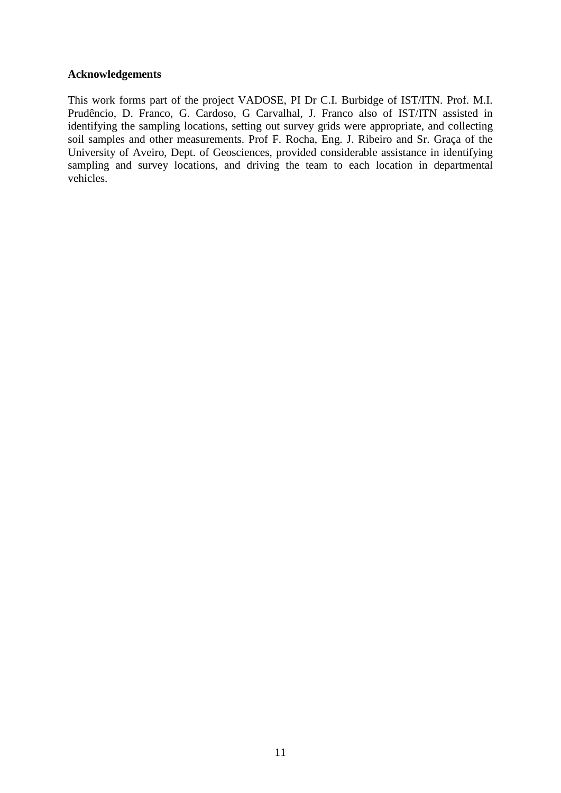### **Acknowledgements**

This work forms part of the project VADOSE, PI Dr C.I. Burbidge of IST/ITN. Prof. M.I. Prudêncio, D. Franco, G. Cardoso, G Carvalhal, J. Franco also of IST/ITN assisted in identifying the sampling locations, setting out survey grids were appropriate, and collecting soil samples and other measurements. Prof F. Rocha, Eng. J. Ribeiro and Sr. Graça of the University of Aveiro, Dept. of Geosciences, provided considerable assistance in identifying sampling and survey locations, and driving the team to each location in departmental vehicles.